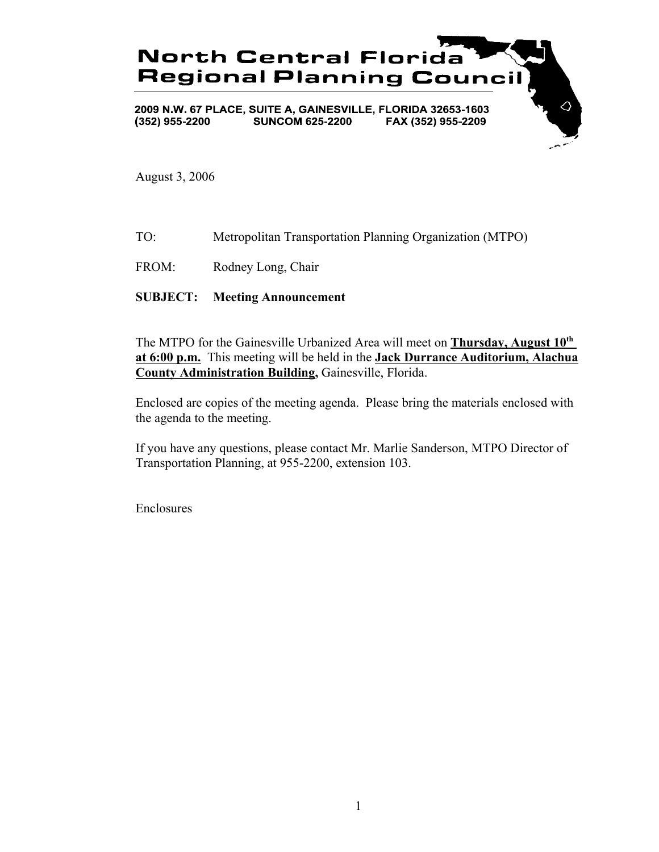

August 3, 2006

- TO: Metropolitan Transportation Planning Organization (MTPO)
- FROM: Rodney Long, Chair

## **SUBJECT: Meeting Announcement**

The MTPO for the Gainesville Urbanized Area will meet on **Thursday, August 10th at 6:00 p.m.** This meeting will be held in the **Jack Durrance Auditorium, Alachua County Administration Building,** Gainesville, Florida.

Enclosed are copies of the meeting agenda. Please bring the materials enclosed with the agenda to the meeting.

If you have any questions, please contact Mr. Marlie Sanderson, MTPO Director of Transportation Planning, at 955-2200, extension 103.

Enclosures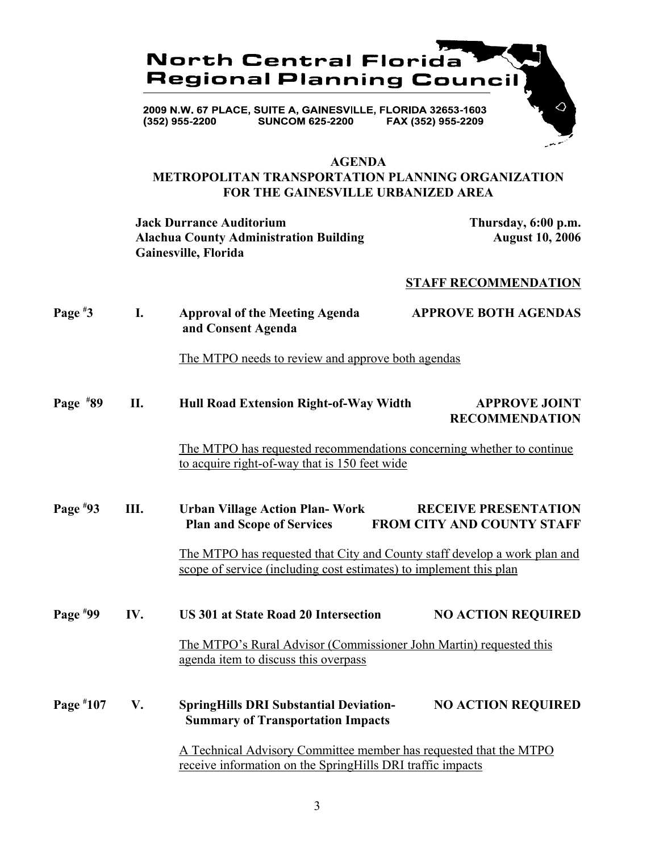

#### **AGENDA**

# **METROPOLITAN TRANSPORTATION PLANNING ORGANIZATION FOR THE GAINESVILLE URBANIZED AREA**

**Jack Durrance Auditorium Thursday, 6:00 p.m.** Alachua County Administration Building **August 10, 2006 Gainesville, Florida**

## **STAFF RECOMMENDATION**

| Page $*3$   | I.  | <b>Approval of the Meeting Agenda</b><br>and Consent Agenda                                                                                                                                                                                                                                       | <b>APPROVE BOTH AGENDAS</b>                   |
|-------------|-----|---------------------------------------------------------------------------------------------------------------------------------------------------------------------------------------------------------------------------------------------------------------------------------------------------|-----------------------------------------------|
|             |     | The MTPO needs to review and approve both agendas                                                                                                                                                                                                                                                 |                                               |
| Page $*89$  | П.  | Hull Road Extension Right-of-Way Width                                                                                                                                                                                                                                                            | <b>APPROVE JOINT</b><br><b>RECOMMENDATION</b> |
|             |     | The MTPO has requested recommendations concerning whether to continue<br>to acquire right-of-way that is 150 feet wide                                                                                                                                                                            |                                               |
| Page $*93$  | Ш.  | <b>RECEIVE PRESENTATION</b><br><b>Urban Village Action Plan-Work</b><br><b>FROM CITY AND COUNTY STAFF</b><br><b>Plan and Scope of Services</b><br>The MTPO has requested that City and County staff develop a work plan and<br>scope of service (including cost estimates) to implement this plan |                                               |
| Page $*99$  | IV. | <b>US 301 at State Road 20 Intersection</b><br>The MTPO's Rural Advisor (Commissioner John Martin) requested this                                                                                                                                                                                 | <b>NO ACTION REQUIRED</b>                     |
|             |     | agenda item to discuss this overpass                                                                                                                                                                                                                                                              |                                               |
| Page $*107$ | V.  | <b>SpringHills DRI Substantial Deviation-</b><br><b>Summary of Transportation Impacts</b>                                                                                                                                                                                                         | <b>NO ACTION REQUIRED</b>                     |
|             |     | A Technical Advisory Committee member has requested that the MTPO<br>receive information on the SpringHills DRI traffic impacts                                                                                                                                                                   |                                               |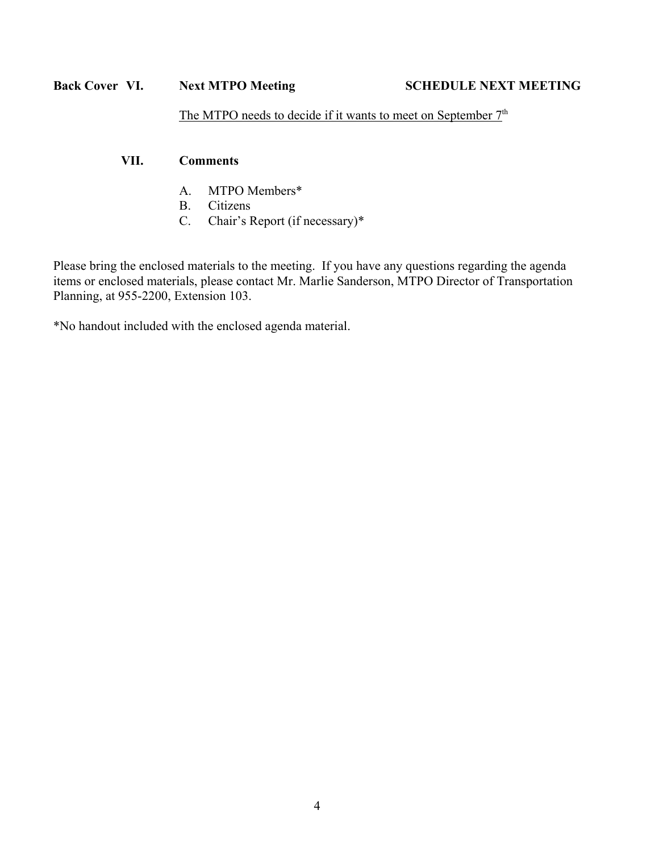# **Back Cover VI.** Next MTPO Meeting SCHEDULE NEXT MEETING

The MTPO needs to decide if it wants to meet on September  $7<sup>th</sup>$ 

# **VII. Comments**

- A. MTPO Members\*
- B. Citizens
- C. Chair's Report (if necessary)\*

Please bring the enclosed materials to the meeting. If you have any questions regarding the agenda items or enclosed materials, please contact Mr. Marlie Sanderson, MTPO Director of Transportation Planning, at 955-2200, Extension 103.

\*No handout included with the enclosed agenda material.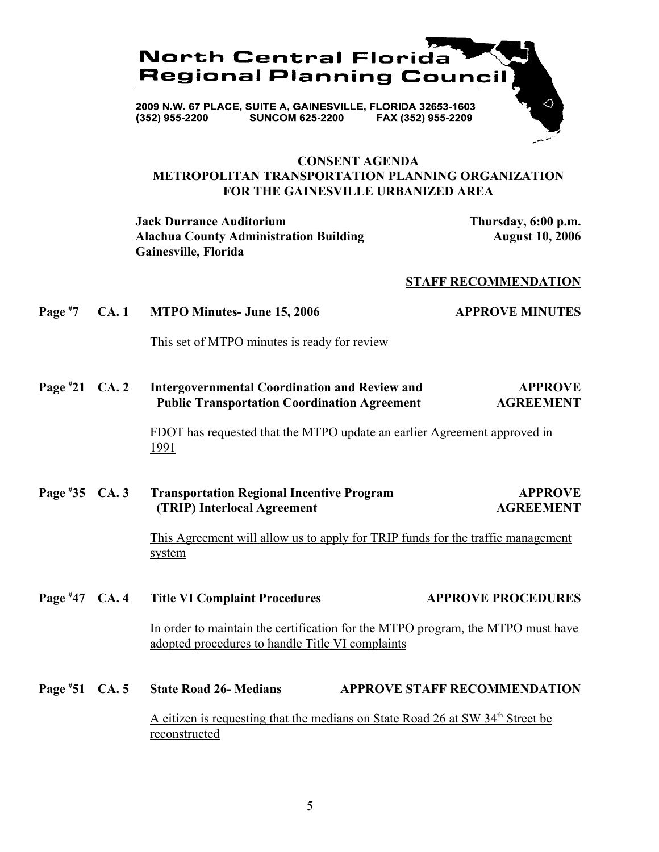

## **CONSENT AGENDA METROPOLITAN TRANSPORTATION PLANNING ORGANIZATION FOR THE GAINESVILLE URBANIZED AREA**

**Jack Durrance Auditorium Thursday, 6:00 p.m.** Alachua County Administration Building **August 10, 2006 Gainesville, Florida**

#### **STAFF RECOMMENDATION**

**Page # 7 CA. 1 MTPO Minutes- June 15, 2006 APPROVE MINUTES**

This set of MTPO minutes is ready for review

**Page # 21 CA. 2 Intergovernmental Coordination and Review and APPROVE Public Transportation Coordination Agreement AGREEMENT**

> FDOT has requested that the MTPO update an earlier Agreement approved in 1991

**Page # 35 Transportation Regional Incentive Program APPROVE (TRIP) Interlocal Agreement AGREEMENT**

> This Agreement will allow us to apply for TRIP funds for the traffic management system

- **Page #** Title VI Complaint Procedures **47 APPROVE PROCEDURES** In order to maintain the certification for the MTPO program, the MTPO must have adopted procedures to handle Title VI complaints
- **Page # State Road 26- Medians APPROVE STAFF RECOMMENDATION** A citizen is requesting that the medians on State Road 26 at SW 34<sup>th</sup> Street be reconstructed